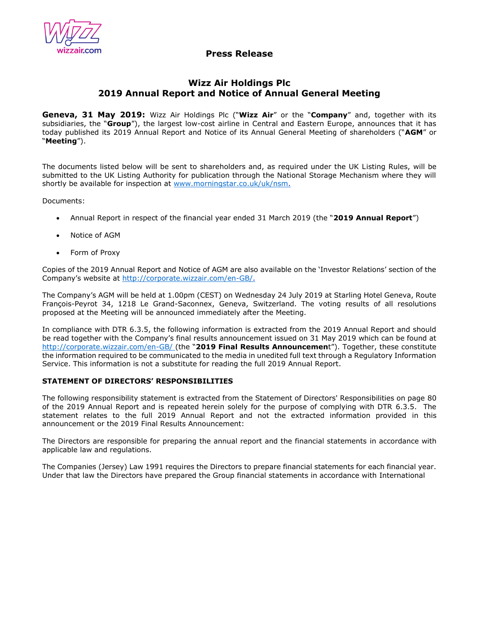

## **Wizz Air Holdings Plc 2019 Annual Report and Notice of Annual General Meeting**

**Geneva, 31 May 2019:** Wizz Air Holdings Plc ("**Wizz Air**" or the "**Company**" and, together with its subsidiaries, the "**Group**"), the largest low-cost airline in Central and Eastern Europe, announces that it has today published its 2019 Annual Report and Notice of its Annual General Meeting of shareholders ("**AGM**" or "**Meeting**").

The documents listed below will be sent to shareholders and, as required under the UK Listing Rules, will be submitted to the UK Listing Authority for publication through the National Storage Mechanism where they will shortly be available for inspection at [www.morningstar.co.uk/uk/nsm.](http://www.morningstar.co.uk/uk/nsm)

Documents:

- Annual Report in respect of the financial year ended 31 March 2019 (the "**2019 Annual Report**")
- Notice of AGM
- Form of Proxy

Copies of the 2019 Annual Report and Notice of AGM are also available on the 'Investor Relations' section of the Company's website at [http://corporate.wizzair.com/en-GB/.](http://corporate.wizzair.com/en-GB/)

The Company's AGM will be held at 1.00pm (CEST) on Wednesday 24 July 2019 at Starling Hotel Geneva, Route François-Peyrot 34, 1218 Le Grand-Saconnex, Geneva, Switzerland. The voting results of all resolutions proposed at the Meeting will be announced immediately after the Meeting.

In compliance with DTR 6.3.5, the following information is extracted from the 2019 Annual Report and should be read together with the Company's final results announcement issued on 31 May 2019 which can be found at <http://corporate.wizzair.com/en-GB/>(the "**2019 Final Results Announcemen**t"). Together, these constitute the information required to be communicated to the media in unedited full text through a Regulatory Information Service. This information is not a substitute for reading the full 2019 Annual Report.

### **STATEMENT OF DIRECTORS' RESPONSIBILITIES**

The following responsibility statement is extracted from the Statement of Directors' Responsibilities on page 80 of the 2019 Annual Report and is repeated herein solely for the purpose of complying with DTR 6.3.5. The statement relates to the full 2019 Annual Report and not the extracted information provided in this announcement or the 2019 Final Results Announcement:

The Directors are responsible for preparing the annual report and the financial statements in accordance with applicable law and regulations.

The Companies (Jersey) Law 1991 requires the Directors to prepare financial statements for each financial year. Under that law the Directors have prepared the Group financial statements in accordance with International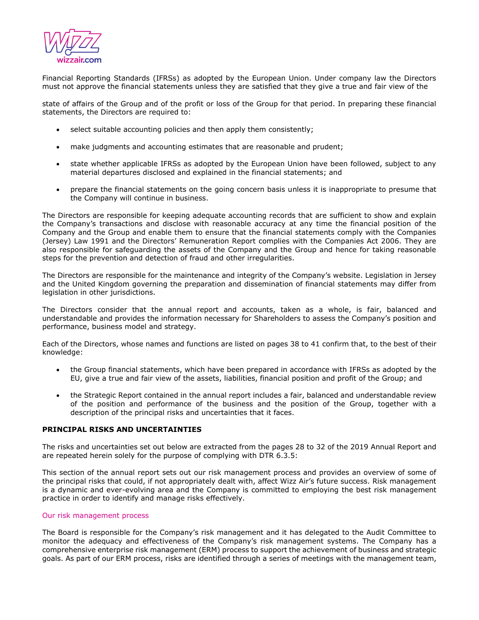

Financial Reporting Standards (IFRSs) as adopted by the European Union. Under company law the Directors must not approve the financial statements unless they are satisfied that they give a true and fair view of the

state of affairs of the Group and of the profit or loss of the Group for that period. In preparing these financial statements, the Directors are required to:

- select suitable accounting policies and then apply them consistently;
- make judgments and accounting estimates that are reasonable and prudent;
- state whether applicable IFRSs as adopted by the European Union have been followed, subject to any material departures disclosed and explained in the financial statements; and
- prepare the financial statements on the going concern basis unless it is inappropriate to presume that the Company will continue in business.

The Directors are responsible for keeping adequate accounting records that are sufficient to show and explain the Company's transactions and disclose with reasonable accuracy at any time the financial position of the Company and the Group and enable them to ensure that the financial statements comply with the Companies (Jersey) Law 1991 and the Directors' Remuneration Report complies with the Companies Act 2006. They are also responsible for safeguarding the assets of the Company and the Group and hence for taking reasonable steps for the prevention and detection of fraud and other irregularities.

The Directors are responsible for the maintenance and integrity of the Company's website. Legislation in Jersey and the United Kingdom governing the preparation and dissemination of financial statements may differ from legislation in other jurisdictions.

The Directors consider that the annual report and accounts, taken as a whole, is fair, balanced and understandable and provides the information necessary for Shareholders to assess the Company's position and performance, business model and strategy.

Each of the Directors, whose names and functions are listed on pages 38 to 41 confirm that, to the best of their knowledge:

- the Group financial statements, which have been prepared in accordance with IFRSs as adopted by the EU, give a true and fair view of the assets, liabilities, financial position and profit of the Group; and
- the Strategic Report contained in the annual report includes a fair, balanced and understandable review of the position and performance of the business and the position of the Group, together with a description of the principal risks and uncertainties that it faces.

### **PRINCIPAL RISKS AND UNCERTAINTIES**

The risks and uncertainties set out below are extracted from the pages 28 to 32 of the 2019 Annual Report and are repeated herein solely for the purpose of complying with DTR 6.3.5:

This section of the annual report sets out our risk management process and provides an overview of some of the principal risks that could, if not appropriately dealt with, affect Wizz Air's future success. Risk management is a dynamic and ever-evolving area and the Company is committed to employing the best risk management practice in order to identify and manage risks effectively.

#### Our risk management process

The Board is responsible for the Company's risk management and it has delegated to the Audit Committee to monitor the adequacy and effectiveness of the Company's risk management systems. The Company has a comprehensive enterprise risk management (ERM) process to support the achievement of business and strategic goals. As part of our ERM process, risks are identified through a series of meetings with the management team,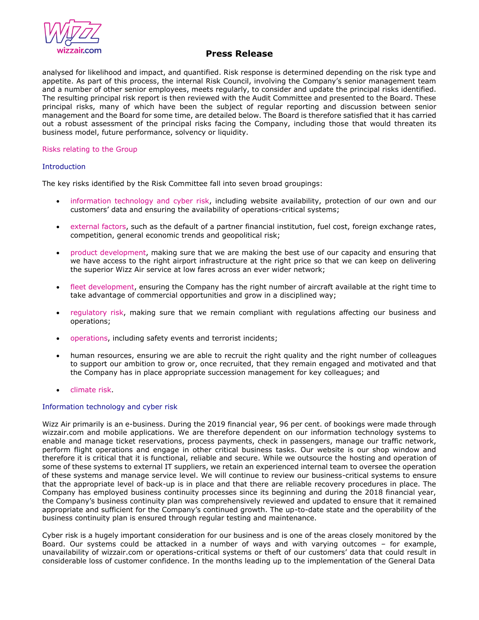

analysed for likelihood and impact, and quantified. Risk response is determined depending on the risk type and appetite. As part of this process, the internal Risk Council, involving the Company's senior management team and a number of other senior employees, meets regularly, to consider and update the principal risks identified. The resulting principal risk report is then reviewed with the Audit Committee and presented to the Board. These principal risks, many of which have been the subject of regular reporting and discussion between senior management and the Board for some time, are detailed below. The Board is therefore satisfied that it has carried out a robust assessment of the principal risks facing the Company, including those that would threaten its business model, future performance, solvency or liquidity.

### Risks relating to the Group

#### **Introduction**

The key risks identified by the Risk Committee fall into seven broad groupings:

- information technology and cyber risk, including website availability, protection of our own and our customers' data and ensuring the availability of operations-critical systems;
- external factors, such as the default of a partner financial institution, fuel cost, foreign exchange rates, competition, general economic trends and geopolitical risk;
- product development, making sure that we are making the best use of our capacity and ensuring that we have access to the right airport infrastructure at the right price so that we can keep on delivering the superior Wizz Air service at low fares across an ever wider network;
- fleet development, ensuring the Company has the right number of aircraft available at the right time to take advantage of commercial opportunities and grow in a disciplined way;
- regulatory risk, making sure that we remain compliant with regulations affecting our business and operations;
- operations, including safety events and terrorist incidents;
- human resources, ensuring we are able to recruit the right quality and the right number of colleagues to support our ambition to grow or, once recruited, that they remain engaged and motivated and that the Company has in place appropriate succession management for key colleagues; and
- climate risk.

#### Information technology and cyber risk

Wizz Air primarily is an e-business. During the 2019 financial year, 96 per cent. of bookings were made through wizzair.com and mobile applications. We are therefore dependent on our information technology systems to enable and manage ticket reservations, process payments, check in passengers, manage our traffic network, perform flight operations and engage in other critical business tasks. Our website is our shop window and therefore it is critical that it is functional, reliable and secure. While we outsource the hosting and operation of some of these systems to external IT suppliers, we retain an experienced internal team to oversee the operation of these systems and manage service level. We will continue to review our business-critical systems to ensure that the appropriate level of back-up is in place and that there are reliable recovery procedures in place. The Company has employed business continuity processes since its beginning and during the 2018 financial year, the Company's business continuity plan was comprehensively reviewed and updated to ensure that it remained appropriate and sufficient for the Company's continued growth. The up-to-date state and the operability of the business continuity plan is ensured through regular testing and maintenance.

Cyber risk is a hugely important consideration for our business and is one of the areas closely monitored by the Board. Our systems could be attacked in a number of ways and with varying outcomes – for example, unavailability of wizzair.com or operations-critical systems or theft of our customers' data that could result in considerable loss of customer confidence. In the months leading up to the implementation of the General Data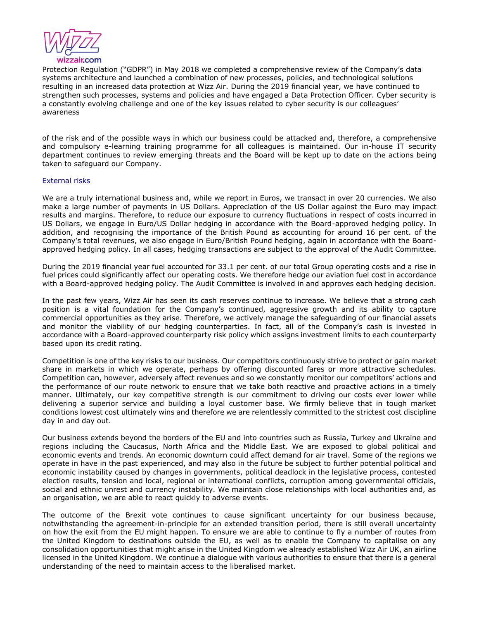

Protection Regulation ("GDPR") in May 2018 we completed a comprehensive review of the Company's data systems architecture and launched a combination of new processes, policies, and technological solutions resulting in an increased data protection at Wizz Air. During the 2019 financial year, we have continued to strengthen such processes, systems and policies and have engaged a Data Protection Officer. Cyber security is a constantly evolving challenge and one of the key issues related to cyber security is our colleagues' awareness

of the risk and of the possible ways in which our business could be attacked and, therefore, a comprehensive and compulsory e-learning training programme for all colleagues is maintained. Our in-house IT security department continues to review emerging threats and the Board will be kept up to date on the actions being taken to safeguard our Company.

### External risks

We are a truly international business and, while we report in Euros, we transact in over 20 currencies. We also make a large number of payments in US Dollars. Appreciation of the US Dollar against the Euro may impact results and margins. Therefore, to reduce our exposure to currency fluctuations in respect of costs incurred in US Dollars, we engage in Euro/US Dollar hedging in accordance with the Board-approved hedging policy. In addition, and recognising the importance of the British Pound as accounting for around 16 per cent. of the Company's total revenues, we also engage in Euro/British Pound hedging, again in accordance with the Boardapproved hedging policy. In all cases, hedging transactions are subject to the approval of the Audit Committee.

During the 2019 financial year fuel accounted for 33.1 per cent. of our total Group operating costs and a rise in fuel prices could significantly affect our operating costs. We therefore hedge our aviation fuel cost in accordance with a Board-approved hedging policy. The Audit Committee is involved in and approves each hedging decision.

In the past few years, Wizz Air has seen its cash reserves continue to increase. We believe that a strong cash position is a vital foundation for the Company's continued, aggressive growth and its ability to capture commercial opportunities as they arise. Therefore, we actively manage the safeguarding of our financial assets and monitor the viability of our hedging counterparties. In fact, all of the Company's cash is invested in accordance with a Board-approved counterparty risk policy which assigns investment limits to each counterparty based upon its credit rating.

Competition is one of the key risks to our business. Our competitors continuously strive to protect or gain market share in markets in which we operate, perhaps by offering discounted fares or more attractive schedules. Competition can, however, adversely affect revenues and so we constantly monitor our competitors' actions and the performance of our route network to ensure that we take both reactive and proactive actions in a timely manner. Ultimately, our key competitive strength is our commitment to driving our costs ever lower while delivering a superior service and building a loyal customer base. We firmly believe that in tough market conditions lowest cost ultimately wins and therefore we are relentlessly committed to the strictest cost discipline day in and day out.

Our business extends beyond the borders of the EU and into countries such as Russia, Turkey and Ukraine and regions including the Caucasus, North Africa and the Middle East. We are exposed to global political and economic events and trends. An economic downturn could affect demand for air travel. Some of the regions we operate in have in the past experienced, and may also in the future be subject to further potential political and economic instability caused by changes in governments, political deadlock in the legislative process, contested election results, tension and local, regional or international conflicts, corruption among governmental officials, social and ethnic unrest and currency instability. We maintain close relationships with local authorities and, as an organisation, we are able to react quickly to adverse events.

The outcome of the Brexit vote continues to cause significant uncertainty for our business because, notwithstanding the agreement-in-principle for an extended transition period, there is still overall uncertainty on how the exit from the EU might happen. To ensure we are able to continue to fly a number of routes from the United Kingdom to destinations outside the EU, as well as to enable the Company to capitalise on any consolidation opportunities that might arise in the United Kingdom we already established Wizz Air UK, an airline licensed in the United Kingdom. We continue a dialogue with various authorities to ensure that there is a general understanding of the need to maintain access to the liberalised market.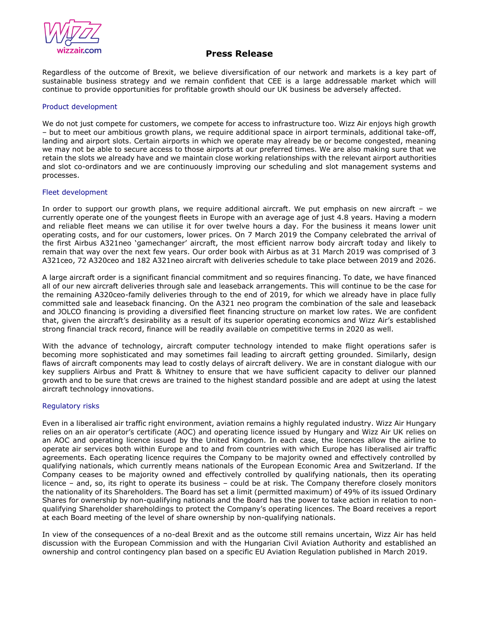

Regardless of the outcome of Brexit, we believe diversification of our network and markets is a key part of sustainable business strategy and we remain confident that CEE is a large addressable market which will continue to provide opportunities for profitable growth should our UK business be adversely affected.

#### Product development

We do not just compete for customers, we compete for access to infrastructure too. Wizz Air enjoys high growth – but to meet our ambitious growth plans, we require additional space in airport terminals, additional take-off, landing and airport slots. Certain airports in which we operate may already be or become congested, meaning we may not be able to secure access to those airports at our preferred times. We are also making sure that we retain the slots we already have and we maintain close working relationships with the relevant airport authorities and slot co-ordinators and we are continuously improving our scheduling and slot management systems and processes.

### Fleet development

In order to support our growth plans, we require additional aircraft. We put emphasis on new aircraft – we currently operate one of the youngest fleets in Europe with an average age of just 4.8 years. Having a modern and reliable fleet means we can utilise it for over twelve hours a day. For the business it means lower unit operating costs, and for our customers, lower prices. On 7 March 2019 the Company celebrated the arrival of the first Airbus A321neo 'gamechanger' aircraft, the most efficient narrow body aircraft today and likely to remain that way over the next few years. Our order book with Airbus as at 31 March 2019 was comprised of 3 A321ceo, 72 A320ceo and 182 A321neo aircraft with deliveries schedule to take place between 2019 and 2026.

A large aircraft order is a significant financial commitment and so requires financing. To date, we have financed all of our new aircraft deliveries through sale and leaseback arrangements. This will continue to be the case for the remaining A320ceo-family deliveries through to the end of 2019, for which we already have in place fully committed sale and leaseback financing. On the A321 neo program the combination of the sale and leaseback and JOLCO financing is providing a diversified fleet financing structure on market low rates. We are confident that, given the aircraft's desirability as a result of its superior operating economics and Wizz Air's established strong financial track record, finance will be readily available on competitive terms in 2020 as well.

With the advance of technology, aircraft computer technology intended to make flight operations safer is becoming more sophisticated and may sometimes fail leading to aircraft getting grounded. Similarly, design flaws of aircraft components may lead to costly delays of aircraft delivery. We are in constant dialogue with our key suppliers Airbus and Pratt & Whitney to ensure that we have sufficient capacity to deliver our planned growth and to be sure that crews are trained to the highest standard possible and are adept at using the latest aircraft technology innovations.

### Regulatory risks

Even in a liberalised air traffic right environment, aviation remains a highly regulated industry. Wizz Air Hungary relies on an air operator's certificate (AOC) and operating licence issued by Hungary and Wizz Air UK relies on an AOC and operating licence issued by the United Kingdom. In each case, the licences allow the airline to operate air services both within Europe and to and from countries with which Europe has liberalised air traffic agreements. Each operating licence requires the Company to be majority owned and effectively controlled by qualifying nationals, which currently means nationals of the European Economic Area and Switzerland. If the Company ceases to be majority owned and effectively controlled by qualifying nationals, then its operating licence – and, so, its right to operate its business – could be at risk. The Company therefore closely monitors the nationality of its Shareholders. The Board has set a limit (permitted maximum) of 49% of its issued Ordinary Shares for ownership by non-qualifying nationals and the Board has the power to take action in relation to nonqualifying Shareholder shareholdings to protect the Company's operating licences. The Board receives a report at each Board meeting of the level of share ownership by non-qualifying nationals.

In view of the consequences of a no-deal Brexit and as the outcome still remains uncertain, Wizz Air has held discussion with the European Commission and with the Hungarian Civil Aviation Authority and established an ownership and control contingency plan based on a specific EU Aviation Regulation published in March 2019.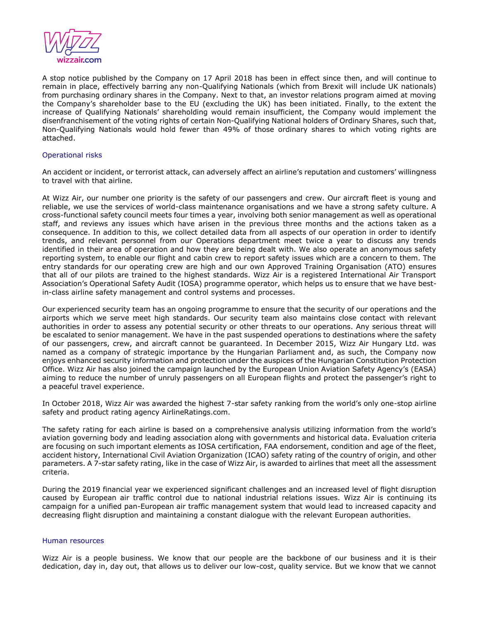

A stop notice published by the Company on 17 April 2018 has been in effect since then, and will continue to remain in place, effectively barring any non-Qualifying Nationals (which from Brexit will include UK nationals) from purchasing ordinary shares in the Company. Next to that, an investor relations program aimed at moving the Company's shareholder base to the EU (excluding the UK) has been initiated. Finally, to the extent the increase of Qualifying Nationals' shareholding would remain insufficient, the Company would implement the disenfranchisement of the voting rights of certain Non-Qualifying National holders of Ordinary Shares, such that, Non-Qualifying Nationals would hold fewer than 49% of those ordinary shares to which voting rights are attached.

### Operational risks

An accident or incident, or terrorist attack, can adversely affect an airline's reputation and customers' willingness to travel with that airline.

At Wizz Air, our number one priority is the safety of our passengers and crew. Our aircraft fleet is young and reliable, we use the services of world-class maintenance organisations and we have a strong safety culture. A cross-functional safety council meets four times a year, involving both senior management as well as operational staff, and reviews any issues which have arisen in the previous three months and the actions taken as a consequence. In addition to this, we collect detailed data from all aspects of our operation in order to identify trends, and relevant personnel from our Operations department meet twice a year to discuss any trends identified in their area of operation and how they are being dealt with. We also operate an anonymous safety reporting system, to enable our flight and cabin crew to report safety issues which are a concern to them. The entry standards for our operating crew are high and our own Approved Training Organisation (ATO) ensures that all of our pilots are trained to the highest standards. Wizz Air is a registered International Air Transport Association's Operational Safety Audit (IOSA) programme operator, which helps us to ensure that we have bestin-class airline safety management and control systems and processes.

Our experienced security team has an ongoing programme to ensure that the security of our operations and the airports which we serve meet high standards. Our security team also maintains close contact with relevant authorities in order to assess any potential security or other threats to our operations. Any serious threat will be escalated to senior management. We have in the past suspended operations to destinations where the safety of our passengers, crew, and aircraft cannot be guaranteed. In December 2015, Wizz Air Hungary Ltd. was named as a company of strategic importance by the Hungarian Parliament and, as such, the Company now enjoys enhanced security information and protection under the auspices of the Hungarian Constitution Protection Office. Wizz Air has also joined the campaign launched by the European Union Aviation Safety Agency's (EASA) aiming to reduce the number of unruly passengers on all European flights and protect the passenger's right to a peaceful travel experience.

In October 2018, Wizz Air was awarded the highest 7-star safety ranking from the world's only one-stop airline safety and product rating agency AirlineRatings.com.

The safety rating for each airline is based on a comprehensive analysis utilizing information from the world's aviation governing body and leading association along with governments and historical data. Evaluation criteria are focusing on such important elements as IOSA certification, FAA endorsement, condition and age of the fleet, accident history, International Civil Aviation Organization (ICAO) safety rating of the country of origin, and other parameters. A 7-star safety rating, like in the case of Wizz Air, is awarded to airlines that meet all the assessment criteria.

During the 2019 financial year we experienced significant challenges and an increased level of flight disruption caused by European air traffic control due to national industrial relations issues. Wizz Air is continuing its campaign for a unified pan-European air traffic management system that would lead to increased capacity and decreasing flight disruption and maintaining a constant dialogue with the relevant European authorities.

#### Human resources

Wizz Air is a people business. We know that our people are the backbone of our business and it is their dedication, day in, day out, that allows us to deliver our low-cost, quality service. But we know that we cannot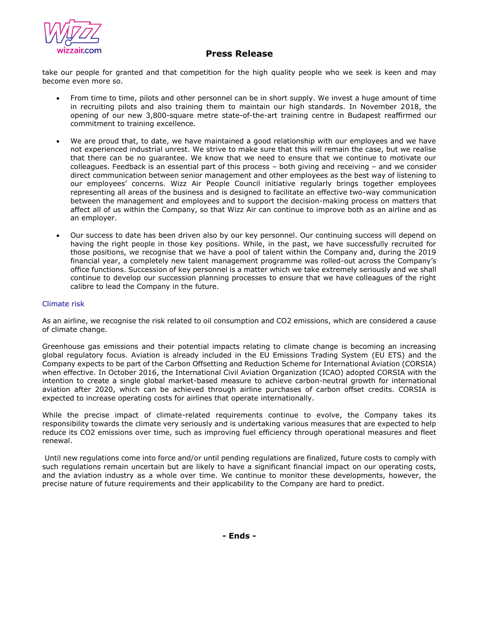

take our people for granted and that competition for the high quality people who we seek is keen and may become even more so.

- From time to time, pilots and other personnel can be in short supply. We invest a huge amount of time in recruiting pilots and also training them to maintain our high standards. In November 2018, the opening of our new 3,800-square metre state-of-the-art training centre in Budapest reaffirmed our commitment to training excellence.
- We are proud that, to date, we have maintained a good relationship with our employees and we have not experienced industrial unrest. We strive to make sure that this will remain the case, but we realise that there can be no guarantee. We know that we need to ensure that we continue to motivate our colleagues. Feedback is an essential part of this process – both giving and receiving – and we consider direct communication between senior management and other employees as the best way of listening to our employees' concerns. Wizz Air People Council initiative regularly brings together employees representing all areas of the business and is designed to facilitate an effective two-way communication between the management and employees and to support the decision-making process on matters that affect all of us within the Company, so that Wizz Air can continue to improve both as an airline and as an employer.
- Our success to date has been driven also by our key personnel. Our continuing success will depend on having the right people in those key positions. While, in the past, we have successfully recruited for those positions, we recognise that we have a pool of talent within the Company and, during the 2019 financial year, a completely new talent management programme was rolled-out across the Company's office functions. Succession of key personnel is a matter which we take extremely seriously and we shall continue to develop our succession planning processes to ensure that we have colleagues of the right calibre to lead the Company in the future.

### Climate risk

As an airline, we recognise the risk related to oil consumption and CO2 emissions, which are considered a cause of climate change.

Greenhouse gas emissions and their potential impacts relating to climate change is becoming an increasing global regulatory focus. Aviation is already included in the EU Emissions Trading System (EU ETS) and the Company expects to be part of the Carbon Offsetting and Reduction Scheme for International Aviation (CORSIA) when effective. In October 2016, the International Civil Aviation Organization (ICAO) adopted CORSIA with the intention to create a single global market-based measure to achieve carbon-neutral growth for international aviation after 2020, which can be achieved through airline purchases of carbon offset credits. CORSIA is expected to increase operating costs for airlines that operate internationally.

While the precise impact of climate-related requirements continue to evolve, the Company takes its responsibility towards the climate very seriously and is undertaking various measures that are expected to help reduce its CO2 emissions over time, such as improving fuel efficiency through operational measures and fleet renewal.

Until new regulations come into force and/or until pending regulations are finalized, future costs to comply with such regulations remain uncertain but are likely to have a significant financial impact on our operating costs, and the aviation industry as a whole over time. We continue to monitor these developments, however, the precise nature of future requirements and their applicability to the Company are hard to predict.

**- Ends -**